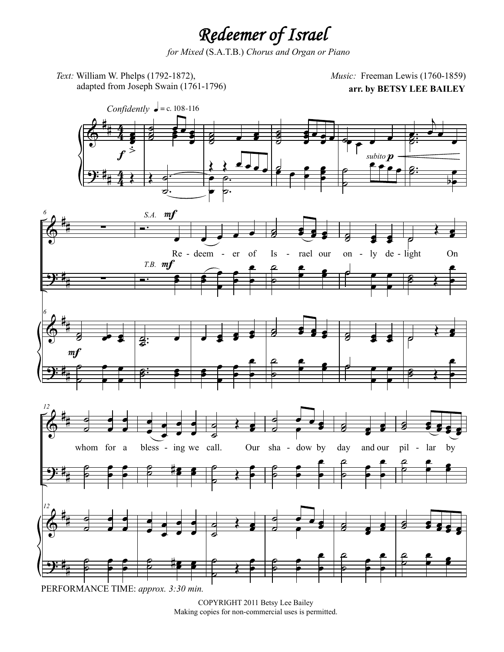## *Redeemer of Israel*

*for Mixed* (S.A.T.B.) *Chorus and Organ or Piano*

*Text:* William W. Phelps (1792-1872), adapted from Joseph Swain (1761-1796)

**arr. by BETSY LEE BAILEY** *Music:* Freeman Lewis (1760-1859)



COPYRIGHT 2011 Betsy Lee Bailey Making copies for non-commercial uses is permitted.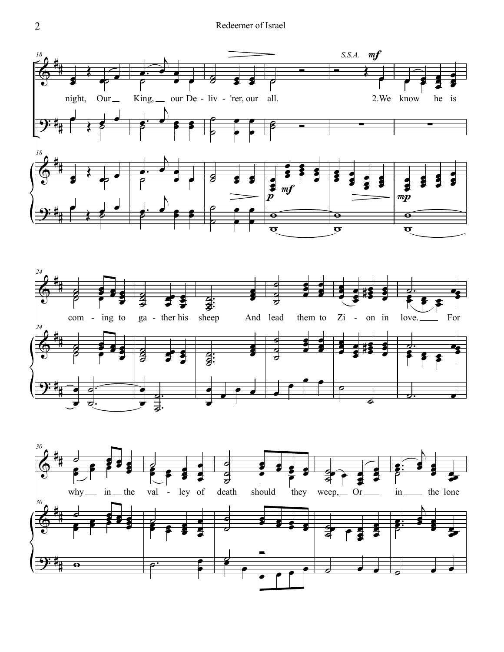## Redeemer of Israel





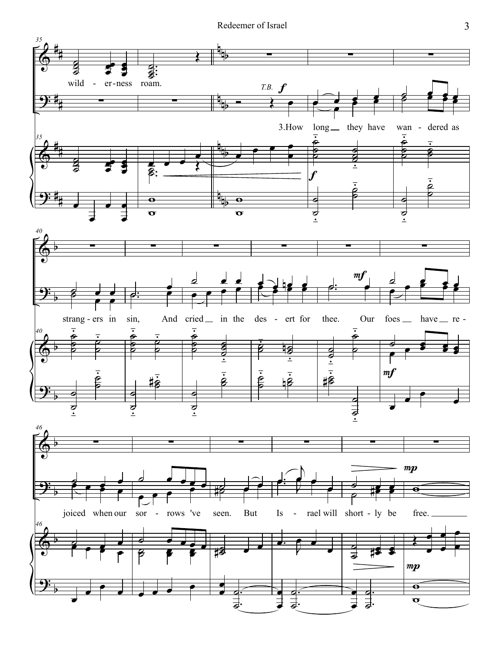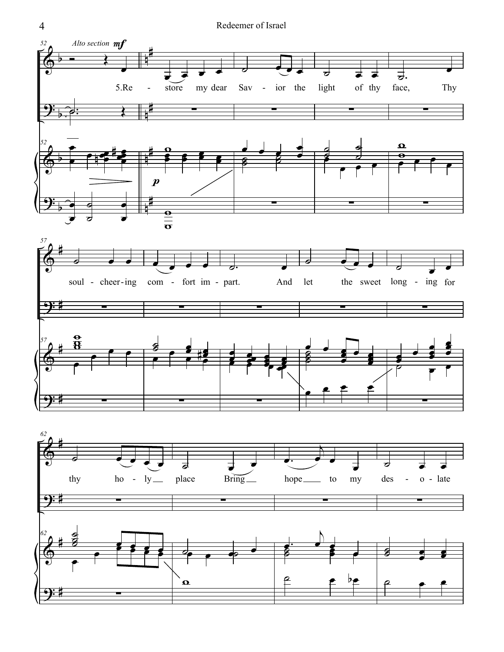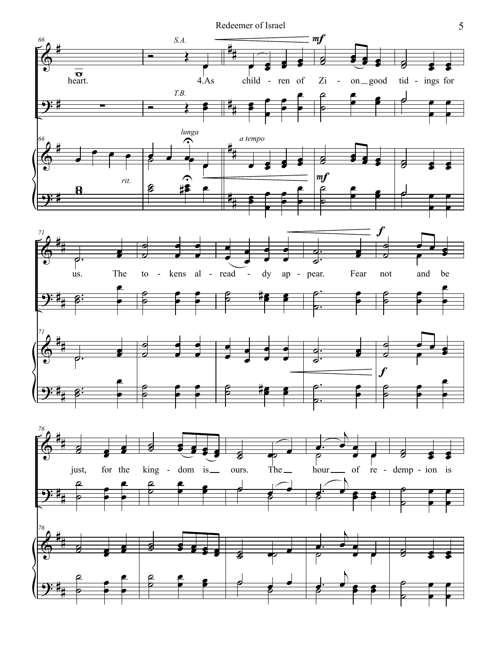Redeemer of Israel 5